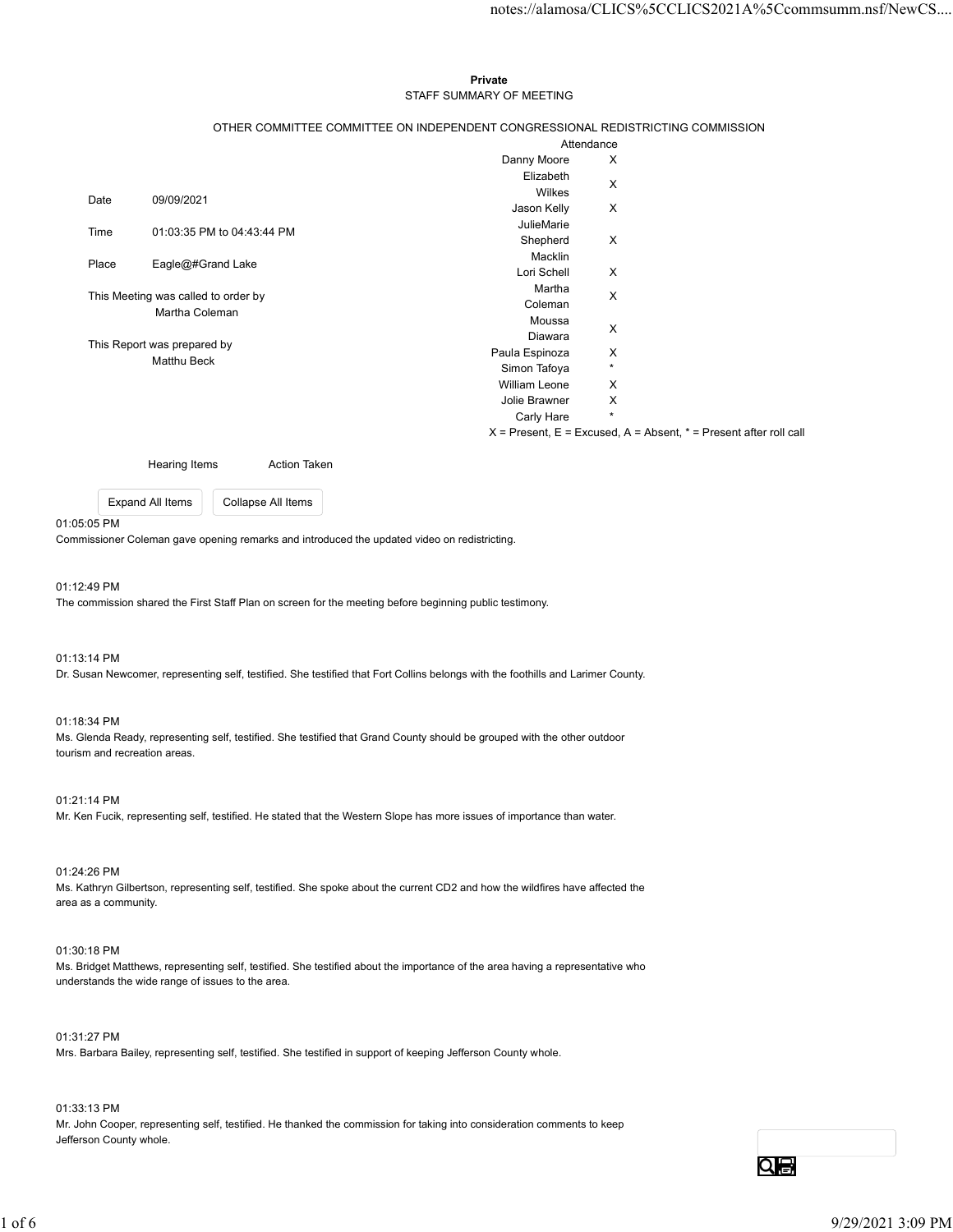# Private **Private** and *Private* and *Private* and *Private* and *Private* and *Private* and *Private* and *Private* and *Private* and *Private* and *Private* and *Private* and *Private* and *Private* and *Private* and *Pri* STAFF SUMMARY OF MEETING

|                                     |                  |                                                                                            |                                                                                 | notes://alamosa/CLICS%5CCLICS2021A%5Ccommsumm.nsf/NewCS                   |
|-------------------------------------|------------------|--------------------------------------------------------------------------------------------|---------------------------------------------------------------------------------|---------------------------------------------------------------------------|
|                                     |                  |                                                                                            |                                                                                 |                                                                           |
|                                     |                  |                                                                                            |                                                                                 |                                                                           |
|                                     |                  |                                                                                            |                                                                                 |                                                                           |
|                                     |                  |                                                                                            | Private                                                                         |                                                                           |
|                                     |                  |                                                                                            | STAFF SUMMARY OF MEETING                                                        |                                                                           |
|                                     |                  |                                                                                            |                                                                                 |                                                                           |
|                                     |                  |                                                                                            | OTHER COMMITTEE COMMITTEE ON INDEPENDENT CONGRESSIONAL REDISTRICTING COMMISSION | Attendance                                                                |
|                                     |                  |                                                                                            | Danny Moore                                                                     | $\boldsymbol{\mathsf{X}}$                                                 |
|                                     |                  |                                                                                            | Elizabeth                                                                       |                                                                           |
|                                     |                  |                                                                                            | Wilkes                                                                          | $\boldsymbol{\mathsf{X}}$                                                 |
| Date                                | 09/09/2021       |                                                                                            | Jason Kelly                                                                     | X                                                                         |
|                                     |                  |                                                                                            | JulieMarie                                                                      |                                                                           |
| 01:03:35 PM to 04:43:44 PM<br>Time  |                  |                                                                                            | Shepherd                                                                        | $\mathsf{X}$                                                              |
| Eagle@#Grand Lake<br>Place          |                  |                                                                                            | Macklin                                                                         |                                                                           |
|                                     |                  |                                                                                            | Lori Schell                                                                     | $\boldsymbol{\mathsf{X}}$                                                 |
| This Meeting was called to order by |                  | Martha                                                                                     | $\boldsymbol{\mathsf{X}}$                                                       |                                                                           |
| Martha Coleman                      |                  |                                                                                            | Coleman                                                                         |                                                                           |
|                                     |                  |                                                                                            | Moussa<br>Diawara                                                               | $\mathsf X$                                                               |
| This Report was prepared by         |                  |                                                                                            | Paula Espinoza                                                                  | X                                                                         |
| Matthu Beck                         |                  |                                                                                            | Simon Tafoya                                                                    | $^\star$                                                                  |
|                                     |                  |                                                                                            | William Leone                                                                   | X                                                                         |
|                                     |                  |                                                                                            | Jolie Brawner                                                                   | X                                                                         |
|                                     |                  |                                                                                            | Carly Hare                                                                      | $\star$                                                                   |
|                                     |                  |                                                                                            |                                                                                 | $X =$ Present, $E =$ Excused, $A =$ Absent, $* =$ Present after roll call |
|                                     |                  |                                                                                            |                                                                                 |                                                                           |
|                                     | Hearing Items    | Action Taken                                                                               |                                                                                 |                                                                           |
|                                     | Expand All Items | Collapse All Items                                                                         |                                                                                 |                                                                           |
|                                     |                  |                                                                                            |                                                                                 |                                                                           |
| 05:05 PM                            |                  |                                                                                            |                                                                                 |                                                                           |
|                                     |                  | nmissioner Coleman gave opening remarks and introduced the updated video on redistricting. |                                                                                 |                                                                           |
|                                     |                  |                                                                                            |                                                                                 |                                                                           |

#### 01:05:05 PM

#### 01:12:49 PM

The commission shared the First Staff Plan on screen for the meeting before beginning public testimony.

# 01:13:14 PM

Dr. Susan Newcomer, representing self, testified. She testified that Fort Collins belongs with the foothills and Larimer County.

#### 01:18:34 PM

Ms. Glenda Ready, representing self, testified. She testified that Grand County should be grouped with the other outdoor tourism and recreation areas.

#### 01:21:14 PM

Mr. Ken Fucik, representing self, testified. He stated that the Western Slope has more issues of importance than water.

# 01:24:26 PM

Ms. Kathryn Gilbertson, representing self, testified. She spoke about the current CD2 and how the wildfires have affected the area as a community.

# 01:30:18 PM

Ms. Bridget Matthews, representing self, testified. She testified about the importance of the area having a representative who understands the wide range of issues to the area. 16 - Notice today, representing self, testlified. She spoke about the current CD2 and how the vilidities have affected the<br>10 -24:26 PM<br>Ms. Kalinyo Gilbertston, representing self, testlified. She spoke about the current CD

01:31:27 PM Mrs. Barbara Bailey, representing self, testified. She testified in support of keeping Jefferson County whole.

#### 01:33:13 PM

Mr. John Cooper, representing self, testified. He thanked the commission for taking into consideration comments to keep Jefferson County whole.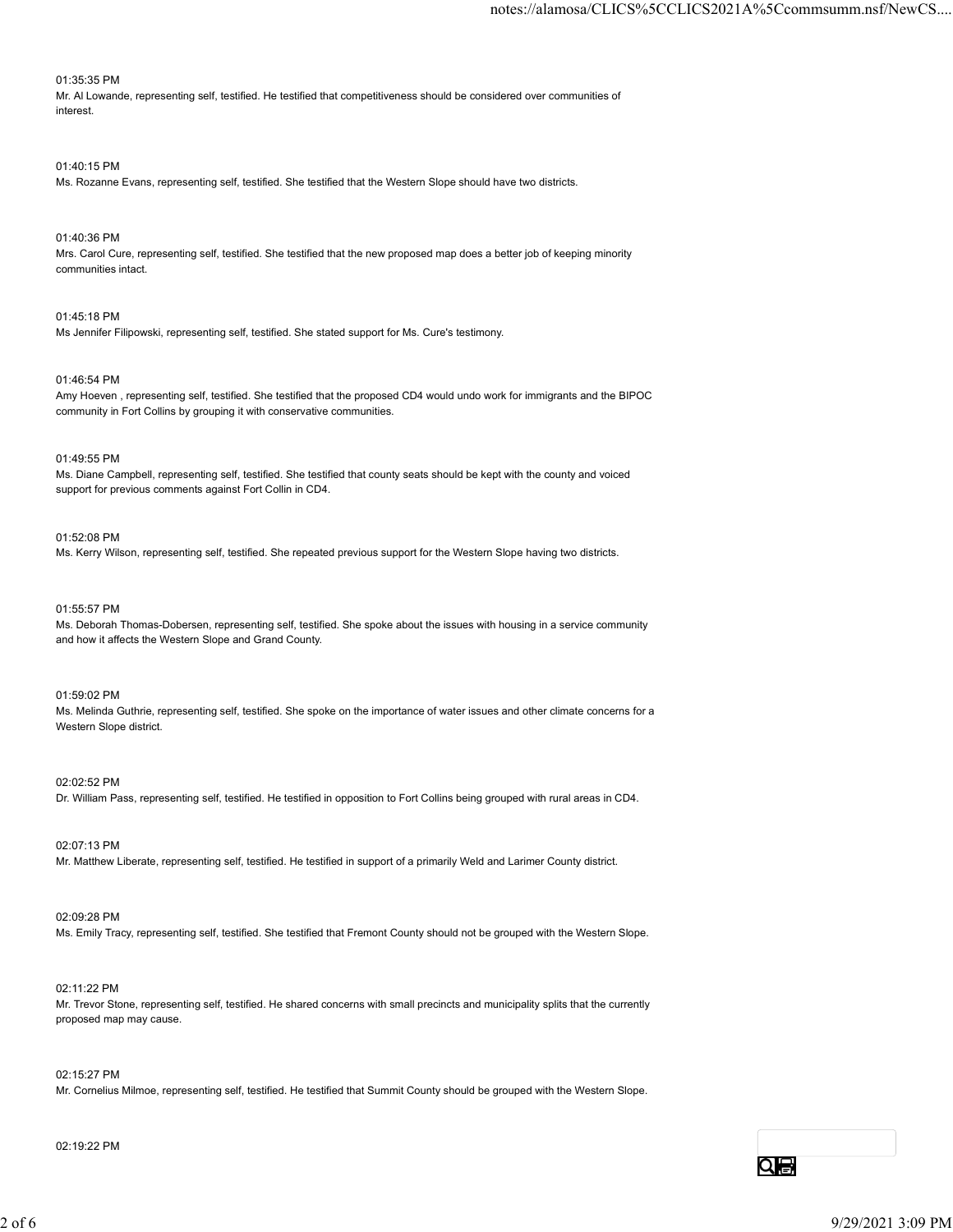# 01:35:35 PM

Mr. Al Lowande, representing self, testified. He testified that competitiveness should be considered over communities of interest.

# 01:40:15 PM

Ms. Rozanne Evans, representing self, testified. She testified that the Western Slope should have two districts.

# 01:40:36 PM

Mrs. Carol Cure, representing self, testified. She testified that the new proposed map does a better job of keeping minority communities intact.

# 01:45:18 PM

Ms Jennifer Filipowski, representing self, testified. She stated support for Ms. Cure's testimony.

# 01:46:54 PM

Amy Hoeven , representing self, testified. She testified that the proposed CD4 would undo work for immigrants and the BIPOC community in Fort Collins by grouping it with conservative communities.

# 01:49:55 PM

Ms. Diane Campbell, representing self, testified. She testified that county seats should be kept with the county and voiced support for previous comments against Fort Collin in CD4.

# 01:52:08 PM

Ms. Kerry Wilson, representing self, testified. She repeated previous support for the Western Slope having two districts.

# 01:55:57 PM

Ms. Deborah Thomas-Dobersen, representing self, testified. She spoke about the issues with housing in a service community and how it affects the Western Slope and Grand County.

# 01:59:02 PM

Ms. Melinda Guthrie, representing self, testified. She spoke on the importance of water issues and other climate concerns for a Western Slope district.

#### 02:02:52 PM

Dr. William Pass, representing self, testified. He testified in opposition to Fort Collins being grouped with rural areas in CD4.

02:07:13 PM

Mr. Matthew Liberate, representing self, testified. He testified in support of a primarily Weld and Larimer County district.

# 02:09:28 PM

Ms. Emily Tracy, representing self, testified. She testified that Fremont County should not be grouped with the Western Slope.

# 02:11:22 PM

Mr. Trevor Stone, representing self, testified. He shared concerns with small precincts and municipality splits that the currently proposed map may cause. 12:07:13 PM<br>Mr. Matthew Liberate, representing self, testfied. He lastified in eupport of a primarily Weld and Latimer County diattot.<br>22:09:28 PM<br>Ms. Emily Tracy, representing self, testfied. He shared concerns with smal

# 02:15:27 PM

Mr. Cornelius Milmoe, representing self, testified. He testified that Summit County should be grouped with the Western Slope.

# 02:19:22 PM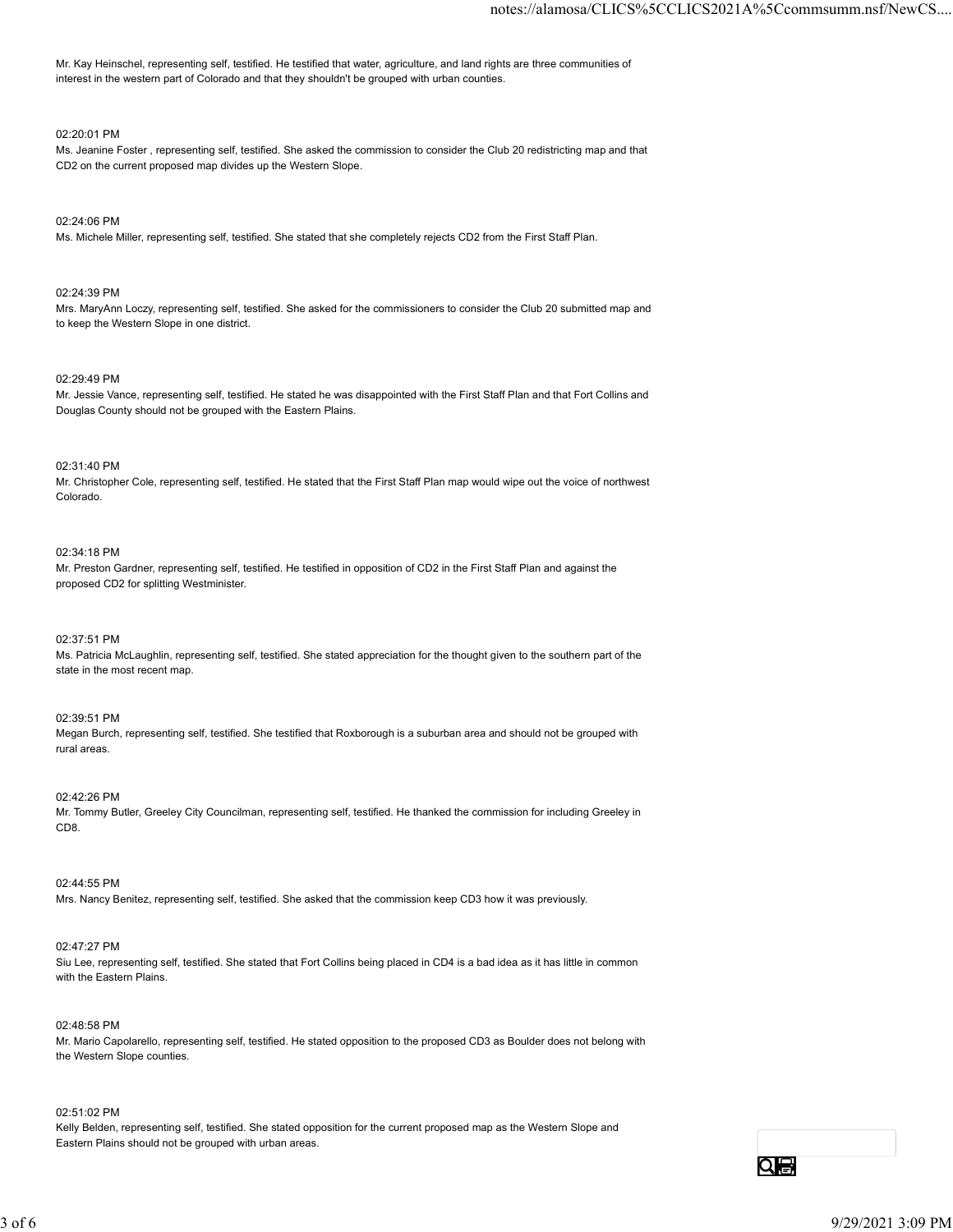Mr. Kay Heinschel, representing self, testified. He testified that water, agriculture, and land rights are three communities of interest in the western part of Colorado and that they shouldn't be grouped with urban counties.

# 02:20:01 PM

Ms. Jeanine Foster , representing self, testified. She asked the commission to consider the Club 20 redistricting map and that CD2 on the current proposed map divides up the Western Slope.

# 02:24:06 PM

Ms. Michele Miller, representing self, testified. She stated that she completely rejects CD2 from the First Staff Plan.

# 02:24:39 PM

Mrs. MaryAnn Loczy, representing self, testified. She asked for the commissioners to consider the Club 20 submitted map and to keep the Western Slope in one district.

# 02:29:49 PM

Mr. Jessie Vance, representing self, testified. He stated he was disappointed with the First Staff Plan and that Fort Collins and Douglas County should not be grouped with the Eastern Plains.

# 02:31:40 PM

Mr. Christopher Cole, representing self, testified. He stated that the First Staff Plan map would wipe out the voice of northwest Colorado.

# 02:34:18 PM

Mr. Preston Gardner, representing self, testified. He testified in opposition of CD2 in the First Staff Plan and against the proposed CD2 for splitting Westminister.

# 02:37:51 PM

Ms. Patricia McLaughlin, representing self, testified. She stated appreciation for the thought given to the southern part of the state in the most recent map.

# 02:39:51 PM

Megan Burch, representing self, testified. She testified that Roxborough is a suburban area and should not be grouped with rural areas.

# 02:42:26 PM

Mr. Tommy Butler, Greeley City Councilman, representing self, testified. He thanked the commission for including Greeley in CD8.

#### 02:44:55 PM

Mrs. Nancy Benitez, representing self, testified. She asked that the commission keep CD3 how it was previously.

#### 02:47:27 PM

Siu Lee, representing self, testified. She stated that Fort Collins being placed in CD4 is a bad idea as it has little in common with the Eastern Plains.

#### 02:48:58 PM

Mr. Mario Capolarello, representing self, testified. He stated opposition to the proposed CD3 as Boulder does not belong with the Western Slope counties. C244-55 PM<br>IMs. Nancy Baniloz, representing sail, testified. She asked that the commission keep CD3 how it was previously.<br>IMS. Nancy Baniloz, representing sail, testified. She stated that Fort Collins being placed in CD4

#### 02:51:02 PM

Kelly Belden, representing self, testified. She stated opposition for the current proposed map as the Western Slope and Eastern Plains should not be grouped with urban areas.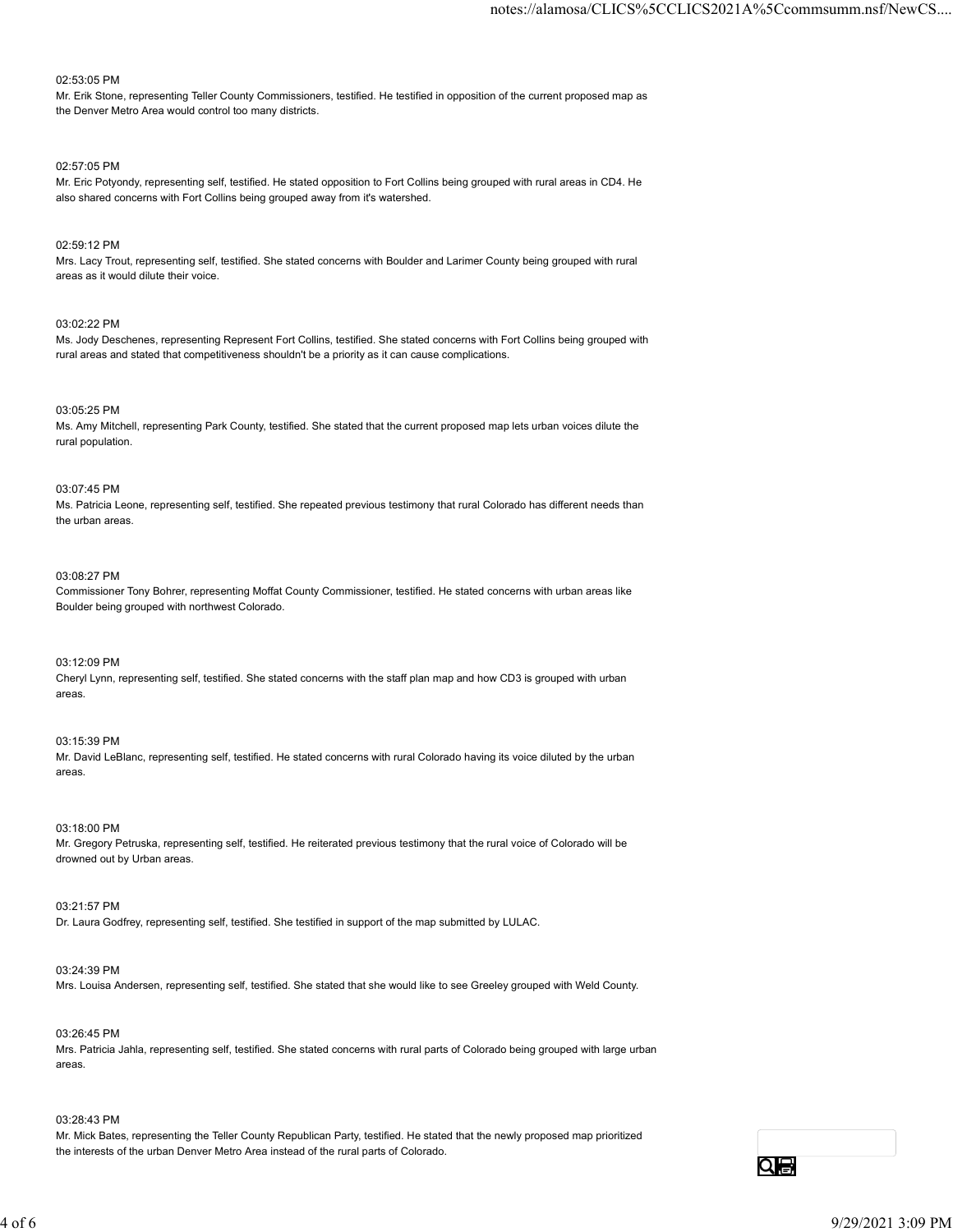#### 02:53:05 PM

Mr. Erik Stone, representing Teller County Commissioners, testified. He testified in opposition of the current proposed map as the Denver Metro Area would control too many districts.

#### 02:57:05 PM

Mr. Eric Potyondy, representing self, testified. He stated opposition to Fort Collins being grouped with rural areas in CD4. He also shared concerns with Fort Collins being grouped away from it's watershed.

# 02:59:12 PM

Mrs. Lacy Trout, representing self, testified. She stated concerns with Boulder and Larimer County being grouped with rural areas as it would dilute their voice.

# 03:02:22 PM

Ms. Jody Deschenes, representing Represent Fort Collins, testified. She stated concerns with Fort Collins being grouped with rural areas and stated that competitiveness shouldn't be a priority as it can cause complications.

# 03:05:25 PM

Ms. Amy Mitchell, representing Park County, testified. She stated that the current proposed map lets urban voices dilute the rural population.

# 03:07:45 PM

Ms. Patricia Leone, representing self, testified. She repeated previous testimony that rural Colorado has different needs than the urban areas.

# 03:08:27 PM

Commissioner Tony Bohrer, representing Moffat County Commissioner, testified. He stated concerns with urban areas like Boulder being grouped with northwest Colorado.

# 03:12:09 PM

Cheryl Lynn, representing self, testified. She stated concerns with the staff plan map and how CD3 is grouped with urban areas.

### 03:15:39 PM

Mr. David LeBlanc, representing self, testified. He stated concerns with rural Colorado having its voice diluted by the urban areas.

#### 03:18:00 PM

Mr. Gregory Petruska, representing self, testified. He reiterated previous testimony that the rural voice of Colorado will be drowned out by Urban areas.

# 03:21:57 PM

Dr. Laura Godfrey, representing self, testified. She testified in support of the map submitted by LULAC.

# 03:24:39 PM

Mrs. Louisa Andersen, representing self, testified. She stated that she would like to see Greeley grouped with Weld County.

# 03:26:45 PM Mrs. Patricia Jahla, representing self, testified. She stated concerns with rural parts of Colorado being grouped with large urban areas. 03-18/02 PM<br>Mc. Groppy Petruska, representing self, testified. He retlerated previous testimony that the rural voice of Colorado will be<br>discussed out by Urban areas.<br>19221:57 PM<br>Dr. Laura Godfrey, representing self, testi

# 03:28:43 PM

Mr. Mick Bates, representing the Teller County Republican Party, testified. He stated that the newly proposed map prioritized the interests of the urban Denver Metro Area instead of the rural parts of Colorado.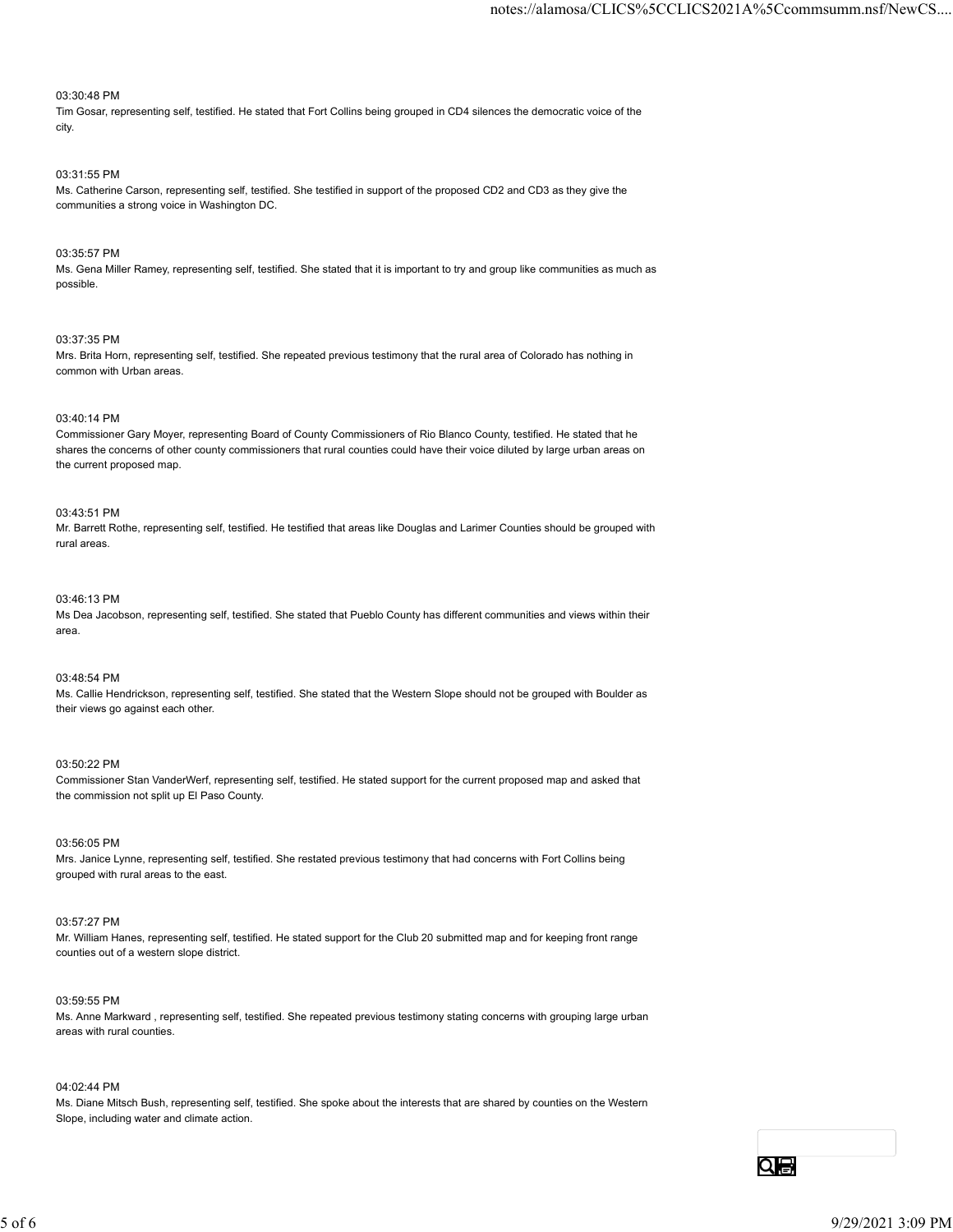# 03:30:48 PM

Tim Gosar, representing self, testified. He stated that Fort Collins being grouped in CD4 silences the democratic voice of the city.

# 03:31:55 PM

Ms. Catherine Carson, representing self, testified. She testified in support of the proposed CD2 and CD3 as they give the communities a strong voice in Washington DC.

### 03:35:57 PM

Ms. Gena Miller Ramey, representing self, testified. She stated that it is important to try and group like communities as much as possible.

#### 03:37:35 PM

Mrs. Brita Horn, representing self, testified. She repeated previous testimony that the rural area of Colorado has nothing in common with Urban areas.

# 03:40:14 PM

Commissioner Gary Moyer, representing Board of County Commissioners of Rio Blanco County, testified. He stated that he shares the concerns of other county commissioners that rural counties could have their voice diluted by large urban areas on the current proposed map.

# 03:43:51 PM

Mr. Barrett Rothe, representing self, testified. He testified that areas like Douglas and Larimer Counties should be grouped with rural areas.

## 03:46:13 PM

Ms Dea Jacobson, representing self, testified. She stated that Pueblo County has different communities and views within their area.

# 03:48:54 PM

Ms. Callie Hendrickson, representing self, testified. She stated that the Western Slope should not be grouped with Boulder as their views go against each other.

# 03:50:22 PM

Commissioner Stan VanderWerf, representing self, testified. He stated support for the current proposed map and asked that the commission not split up El Paso County.

# 03:56:05 PM

Mrs. Janice Lynne, representing self, testified. She restated previous testimony that had concerns with Fort Collins being grouped with rural areas to the east.

#### 03:57:27 PM

Mr. William Hanes, representing self, testified. He stated support for the Club 20 submitted map and for keeping front range counties out of a western slope district.

#### 03:59:55 PM

Ms. Anne Markward , representing self, testified. She repeated previous testimony stating concerns with grouping large urban areas with rural counties. 03:56:05 PM<br>Ms. Januare Unine, representing self, testfied. She restated previous bestimony that had concerns with Fort Collins being<br>grouped with unique areas to the ensit.<br>(03:57:27 PM)<br>M. William Hanes, representing sel

# 04:02:44 PM

Ms. Diane Mitsch Bush, representing self, testified. She spoke about the interests that are shared by counties on the Western Slope, including water and climate action.